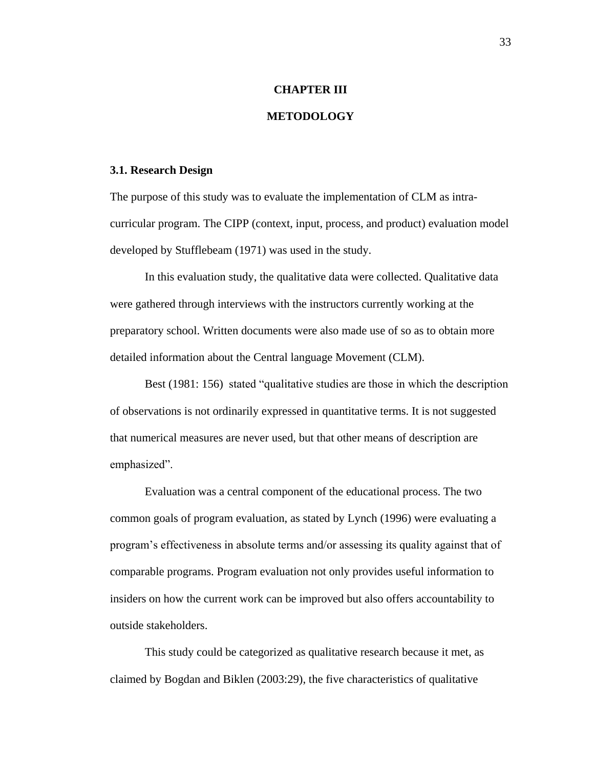#### **CHAPTER III**

### **METODOLOGY**

#### **3.1. Research Design**

The purpose of this study was to evaluate the implementation of CLM as intracurricular program. The CIPP (context, input, process, and product) evaluation model developed by Stufflebeam (1971) was used in the study.

In this evaluation study, the qualitative data were collected. Qualitative data were gathered through interviews with the instructors currently working at the preparatory school. Written documents were also made use of so as to obtain more detailed information about the Central language Movement (CLM).

Best (1981: 156) stated "qualitative studies are those in which the description of observations is not ordinarily expressed in quantitative terms. It is not suggested that numerical measures are never used, but that other means of description are emphasized".

Evaluation was a central component of the educational process. The two common goals of program evaluation, as stated by Lynch (1996) were evaluating a program's effectiveness in absolute terms and/or assessing its quality against that of comparable programs. Program evaluation not only provides useful information to insiders on how the current work can be improved but also offers accountability to outside stakeholders.

This study could be categorized as qualitative research because it met, as claimed by Bogdan and Biklen (2003:29), the five characteristics of qualitative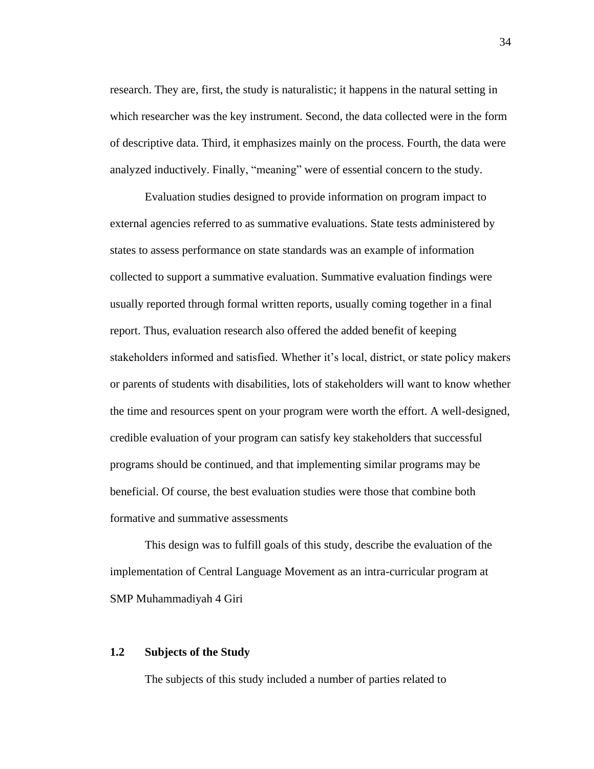research. They are, first, the study is naturalistic; it happens in the natural setting in which researcher was the key instrument. Second, the data collected were in the form of descriptive data. Third, it emphasizes mainly on the process. Fourth, the data were analyzed inductively. Finally, "meaning" were of essential concern to the study.

Evaluation studies designed to provide information on program impact to external agencies referred to as summative evaluations. State tests administered by states to assess performance on state standards was an example of information collected to support a summative evaluation. Summative evaluation findings were usually reported through formal written reports, usually coming together in a final report. Thus, evaluation research also offered the added benefit of keeping stakeholders informed and satisfied. Whether it's local, district, or state policy makers or parents of students with disabilities, lots of stakeholders will want to know whether the time and resources spent on your program were worth the effort. A well-designed, credible evaluation of your program can satisfy key stakeholders that successful programs should be continued, and that implementing similar programs may be beneficial. Of course, the best evaluation studies were those that combine both formative and summative assessments

This design was to fulfill goals of this study, describe the evaluation of the implementation of Central Language Movement as an intra-curricular program at SMP Muhammadiyah 4 Giri

# **1.2 Subjects of the Study**

The subjects of this study included a number of parties related to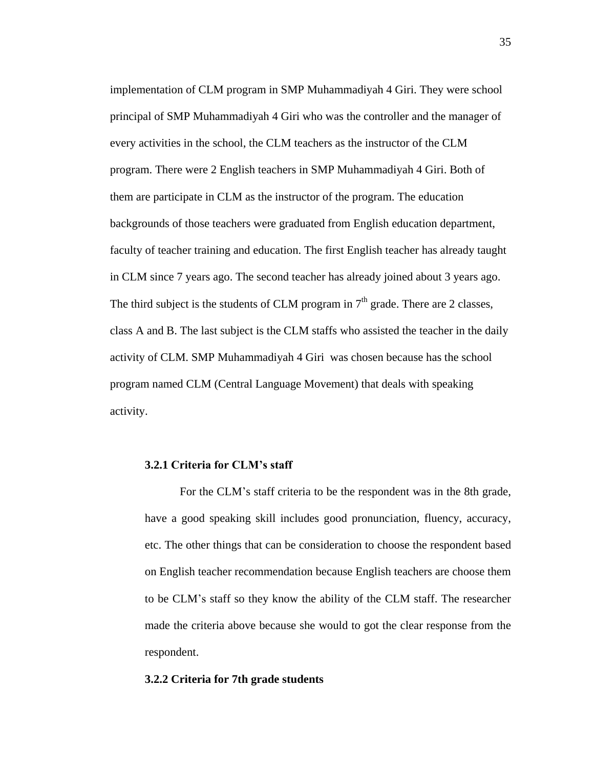implementation of CLM program in SMP Muhammadiyah 4 Giri. They were school principal of SMP Muhammadiyah 4 Giri who was the controller and the manager of every activities in the school, the CLM teachers as the instructor of the CLM program. There were 2 English teachers in SMP Muhammadiyah 4 Giri. Both of them are participate in CLM as the instructor of the program. The education backgrounds of those teachers were graduated from English education department, faculty of teacher training and education. The first English teacher has already taught in CLM since 7 years ago. The second teacher has already joined about 3 years ago. The third subject is the students of CLM program in  $7<sup>th</sup>$  grade. There are 2 classes, class A and B. The last subject is the CLM staffs who assisted the teacher in the daily activity of CLM. SMP Muhammadiyah 4 Giri was chosen because has the school program named CLM (Central Language Movement) that deals with speaking activity.

### **3.2.1 Criteria for CLM's staff**

For the CLM's staff criteria to be the respondent was in the 8th grade, have a good speaking skill includes good pronunciation, fluency, accuracy, etc. The other things that can be consideration to choose the respondent based on English teacher recommendation because English teachers are choose them to be CLM's staff so they know the ability of the CLM staff. The researcher made the criteria above because she would to got the clear response from the respondent.

### **3.2.2 Criteria for 7th grade students**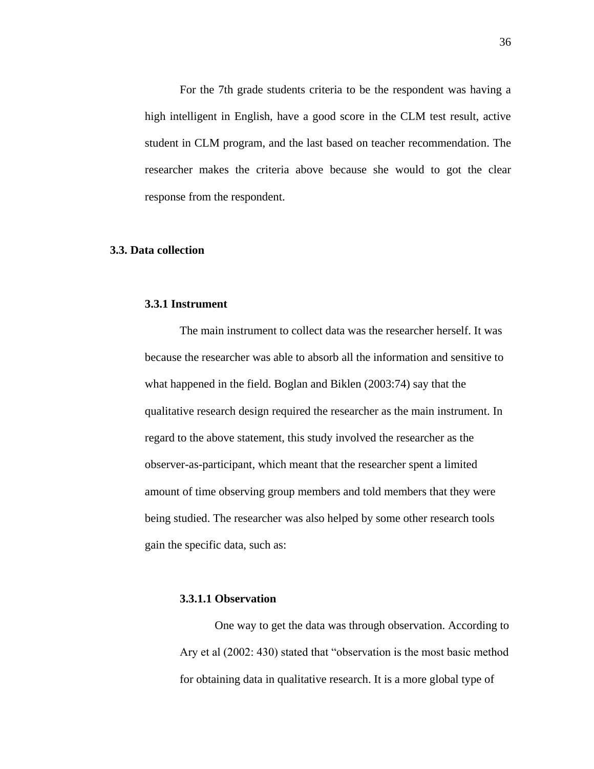For the 7th grade students criteria to be the respondent was having a high intelligent in English, have a good score in the CLM test result, active student in CLM program, and the last based on teacher recommendation. The researcher makes the criteria above because she would to got the clear response from the respondent.

### **3.3. Data collection**

# **3.3.1 Instrument**

The main instrument to collect data was the researcher herself. It was because the researcher was able to absorb all the information and sensitive to what happened in the field. Boglan and Biklen (2003:74) say that the qualitative research design required the researcher as the main instrument. In regard to the above statement, this study involved the researcher as the observer-as-participant, which meant that the researcher spent a limited amount of time observing group members and told members that they were being studied. The researcher was also helped by some other research tools gain the specific data, such as:

### **3.3.1.1 Observation**

One way to get the data was through observation. According to Ary et al (2002: 430) stated that "observation is the most basic method for obtaining data in qualitative research. It is a more global type of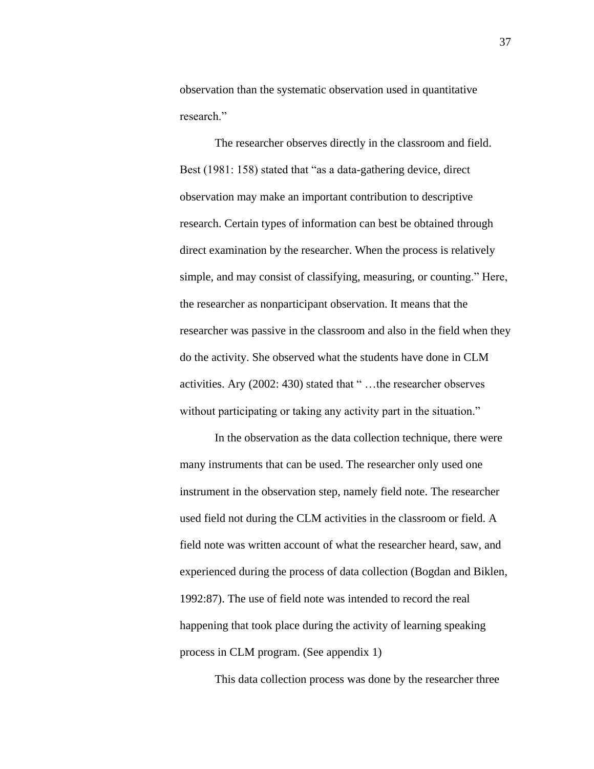observation than the systematic observation used in quantitative research<sup>"</sup>

The researcher observes directly in the classroom and field. Best (1981: 158) stated that "as a data-gathering device, direct observation may make an important contribution to descriptive research. Certain types of information can best be obtained through direct examination by the researcher. When the process is relatively simple, and may consist of classifying, measuring, or counting." Here, the researcher as nonparticipant observation. It means that the researcher was passive in the classroom and also in the field when they do the activity. She observed what the students have done in CLM activities. Ary (2002: 430) stated that " …the researcher observes without participating or taking any activity part in the situation."

In the observation as the data collection technique, there were many instruments that can be used. The researcher only used one instrument in the observation step, namely field note. The researcher used field not during the CLM activities in the classroom or field. A field note was written account of what the researcher heard, saw, and experienced during the process of data collection (Bogdan and Biklen, 1992:87). The use of field note was intended to record the real happening that took place during the activity of learning speaking process in CLM program. (See appendix 1)

This data collection process was done by the researcher three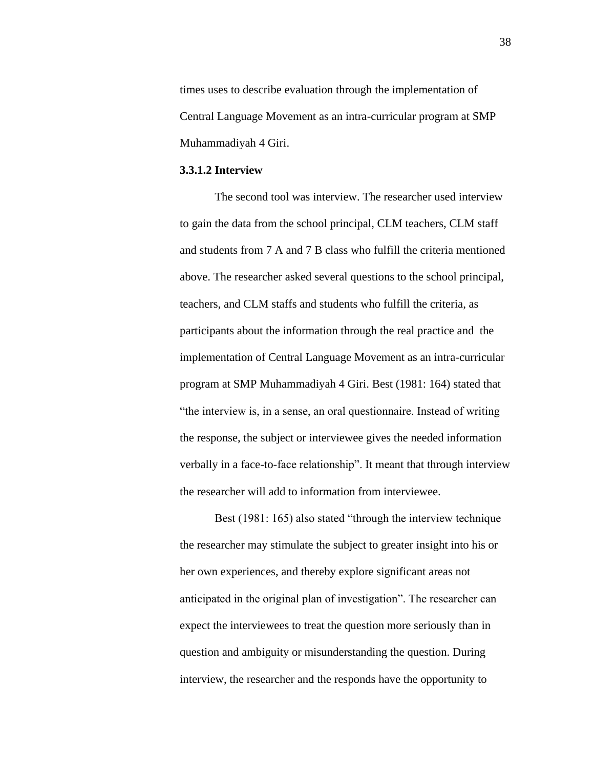times uses to describe evaluation through the implementation of Central Language Movement as an intra-curricular program at SMP Muhammadiyah 4 Giri.

### **3.3.1.2 Interview**

The second tool was interview. The researcher used interview to gain the data from the school principal, CLM teachers, CLM staff and students from 7 A and 7 B class who fulfill the criteria mentioned above. The researcher asked several questions to the school principal, teachers, and CLM staffs and students who fulfill the criteria, as participants about the information through the real practice and the implementation of Central Language Movement as an intra-curricular program at SMP Muhammadiyah 4 Giri. Best (1981: 164) stated that "the interview is, in a sense, an oral questionnaire. Instead of writing the response, the subject or interviewee gives the needed information verbally in a face-to-face relationship". It meant that through interview the researcher will add to information from interviewee.

Best (1981: 165) also stated "through the interview technique" the researcher may stimulate the subject to greater insight into his or her own experiences, and thereby explore significant areas not anticipated in the original plan of investigation". The researcher can expect the interviewees to treat the question more seriously than in question and ambiguity or misunderstanding the question. During interview, the researcher and the responds have the opportunity to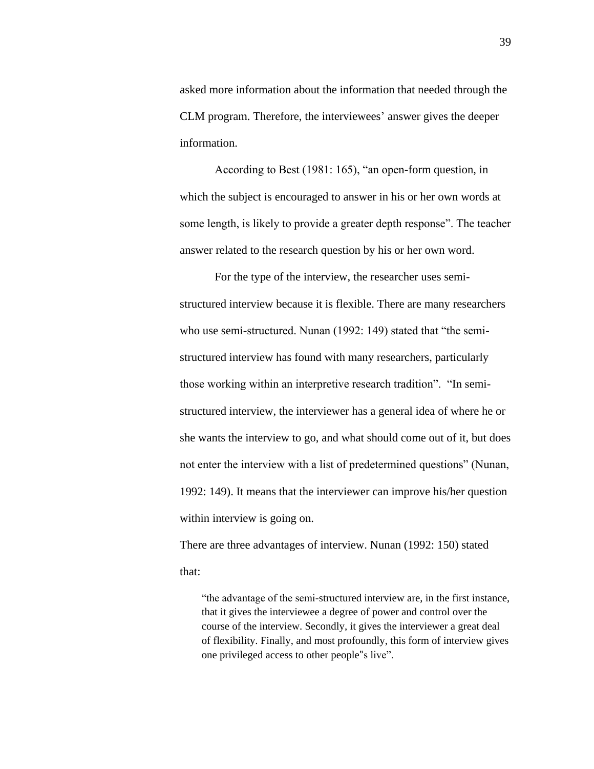asked more information about the information that needed through the CLM program. Therefore, the interviewees' answer gives the deeper information.

According to Best (1981: 165), "an open-form question, in which the subject is encouraged to answer in his or her own words at some length, is likely to provide a greater depth response". The teacher answer related to the research question by his or her own word.

For the type of the interview, the researcher uses semistructured interview because it is flexible. There are many researchers who use semi-structured. Nunan (1992: 149) stated that "the semistructured interview has found with many researchers, particularly those working within an interpretive research tradition". "In semistructured interview, the interviewer has a general idea of where he or she wants the interview to go, and what should come out of it, but does not enter the interview with a list of predetermined questions" (Nunan, 1992: 149). It means that the interviewer can improve his/her question within interview is going on.

There are three advantages of interview. Nunan (1992: 150) stated that:

"the advantage of the semi-structured interview are, in the first instance, that it gives the interviewee a degree of power and control over the course of the interview. Secondly, it gives the interviewer a great deal of flexibility. Finally, and most profoundly, this form of interview gives one privileged access to other people"s live".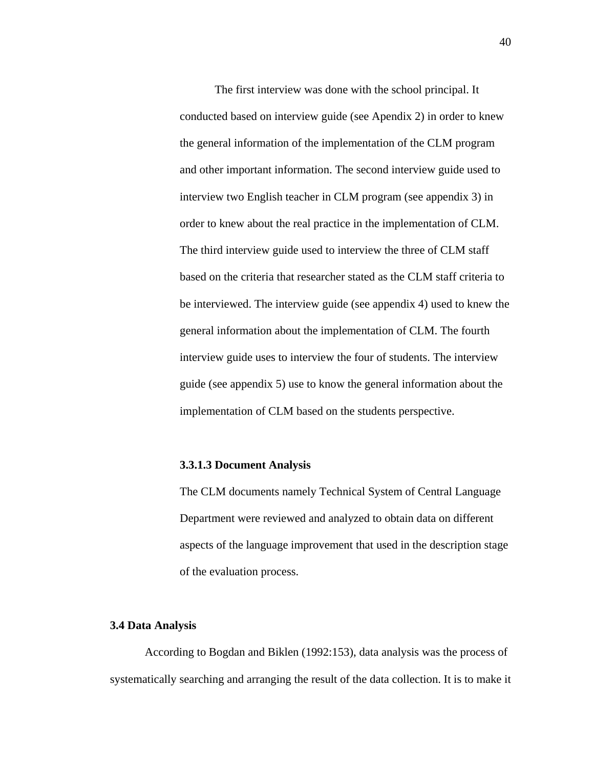The first interview was done with the school principal. It conducted based on interview guide (see Apendix 2) in order to knew the general information of the implementation of the CLM program and other important information. The second interview guide used to interview two English teacher in CLM program (see appendix 3) in order to knew about the real practice in the implementation of CLM. The third interview guide used to interview the three of CLM staff based on the criteria that researcher stated as the CLM staff criteria to be interviewed. The interview guide (see appendix 4) used to knew the general information about the implementation of CLM. The fourth interview guide uses to interview the four of students. The interview guide (see appendix 5) use to know the general information about the implementation of CLM based on the students perspective.

### **3.3.1.3 Document Analysis**

The CLM documents namely Technical System of Central Language Department were reviewed and analyzed to obtain data on different aspects of the language improvement that used in the description stage of the evaluation process.

## **3.4 Data Analysis**

According to Bogdan and Biklen (1992:153), data analysis was the process of systematically searching and arranging the result of the data collection. It is to make it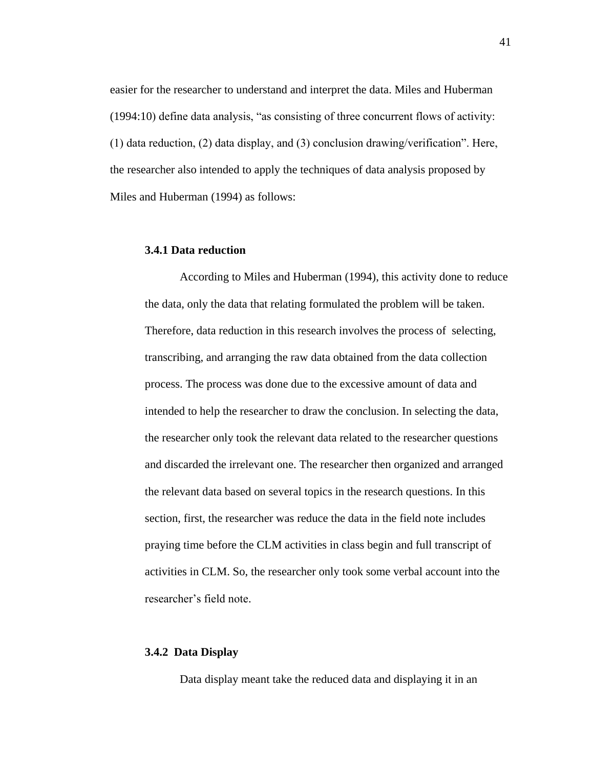easier for the researcher to understand and interpret the data. Miles and Huberman (1994:10) define data analysis, "as consisting of three concurrent flows of activity: (1) data reduction, (2) data display, and (3) conclusion drawing/verification". Here, the researcher also intended to apply the techniques of data analysis proposed by Miles and Huberman (1994) as follows:

### **3.4.1 Data reduction**

According to Miles and Huberman (1994), this activity done to reduce the data, only the data that relating formulated the problem will be taken. Therefore, data reduction in this research involves the process of selecting, transcribing, and arranging the raw data obtained from the data collection process. The process was done due to the excessive amount of data and intended to help the researcher to draw the conclusion. In selecting the data, the researcher only took the relevant data related to the researcher questions and discarded the irrelevant one. The researcher then organized and arranged the relevant data based on several topics in the research questions. In this section, first, the researcher was reduce the data in the field note includes praying time before the CLM activities in class begin and full transcript of activities in CLM. So, the researcher only took some verbal account into the researcher's field note.

## **3.4.2 Data Display**

Data display meant take the reduced data and displaying it in an